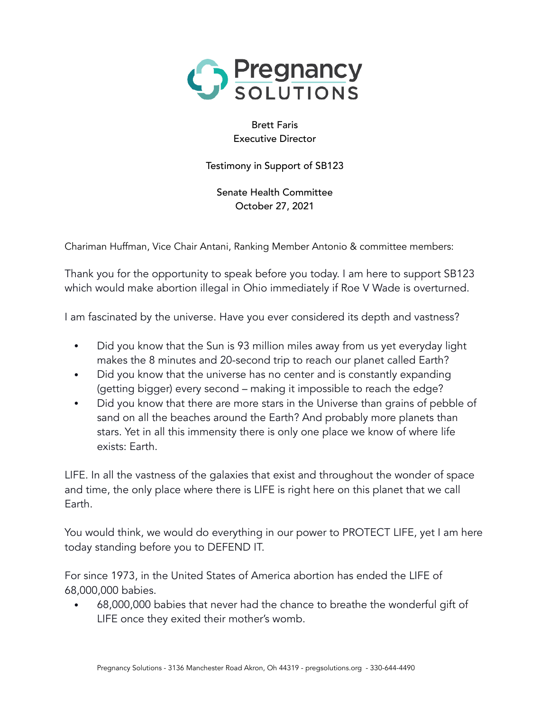

Brett Faris Executive Director

Testimony in Support of SB123

Senate Health Committee October 27, 2021

Chariman Huffman, Vice Chair Antani, Ranking Member Antonio & committee members:

Thank you for the opportunity to speak before you today. I am here to support SB123 which would make abortion illegal in Ohio immediately if Roe V Wade is overturned.

I am fascinated by the universe. Have you ever considered its depth and vastness?

- Did you know that the Sun is 93 million miles away from us yet everyday light makes the 8 minutes and 20-second trip to reach our planet called Earth?
- Did you know that the universe has no center and is constantly expanding (getting bigger) every second – making it impossible to reach the edge?
- Did you know that there are more stars in the Universe than grains of pebble of sand on all the beaches around the Earth? And probably more planets than stars. Yet in all this immensity there is only one place we know of where life exists: Earth.

LIFE. In all the vastness of the galaxies that exist and throughout the wonder of space and time, the only place where there is LIFE is right here on this planet that we call Earth.

You would think, we would do everything in our power to PROTECT LIFE, yet I am here today standing before you to DEFEND IT.

For since 1973, in the United States of America abortion has ended the LIFE of 68,000,000 babies.

• 68,000,000 babies that never had the chance to breathe the wonderful gift of LIFE once they exited their mother's womb.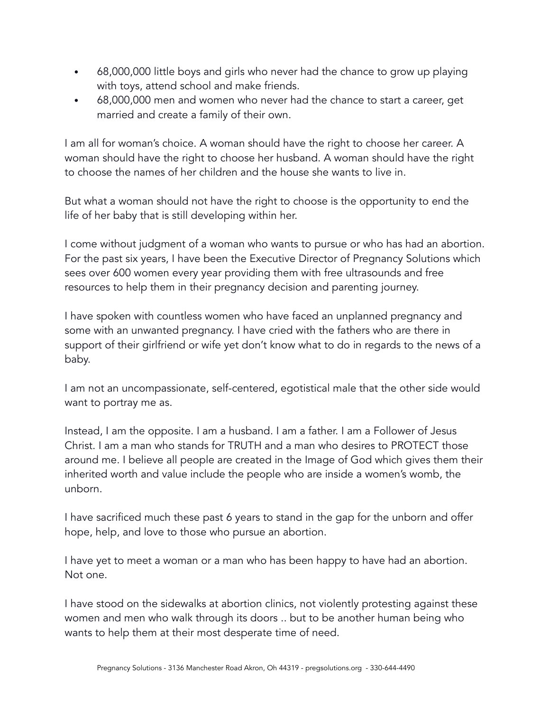- 68,000,000 little boys and girls who never had the chance to grow up playing with toys, attend school and make friends.
- 68,000,000 men and women who never had the chance to start a career, get married and create a family of their own.

I am all for woman's choice. A woman should have the right to choose her career. A woman should have the right to choose her husband. A woman should have the right to choose the names of her children and the house she wants to live in.

But what a woman should not have the right to choose is the opportunity to end the life of her baby that is still developing within her.

I come without judgment of a woman who wants to pursue or who has had an abortion. For the past six years, I have been the Executive Director of Pregnancy Solutions which sees over 600 women every year providing them with free ultrasounds and free resources to help them in their pregnancy decision and parenting journey.

I have spoken with countless women who have faced an unplanned pregnancy and some with an unwanted pregnancy. I have cried with the fathers who are there in support of their girlfriend or wife yet don't know what to do in regards to the news of a baby.

I am not an uncompassionate, self-centered, egotistical male that the other side would want to portray me as.

Instead, I am the opposite. I am a husband. I am a father. I am a Follower of Jesus Christ. I am a man who stands for TRUTH and a man who desires to PROTECT those around me. I believe all people are created in the Image of God which gives them their inherited worth and value include the people who are inside a women's womb, the unborn.

I have sacrificed much these past 6 years to stand in the gap for the unborn and offer hope, help, and love to those who pursue an abortion.

I have yet to meet a woman or a man who has been happy to have had an abortion. Not one.

I have stood on the sidewalks at abortion clinics, not violently protesting against these women and men who walk through its doors .. but to be another human being who wants to help them at their most desperate time of need.